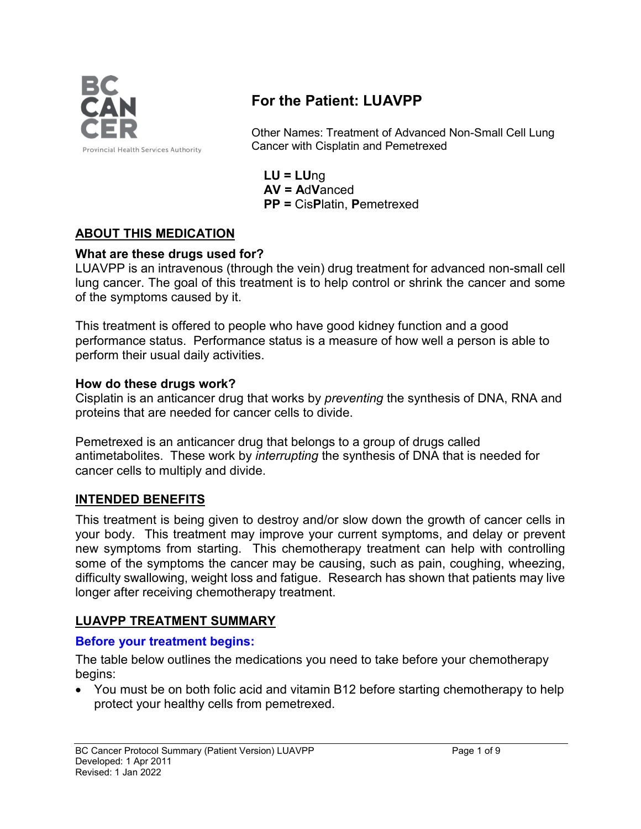

# **For the Patient: LUAVPP**

Other Names: Treatment of Advanced Non-Small Cell Lung Cancer with Cisplatin and Pemetrexed

**LU = LU**ng **AV = A**d**V**anced **PP =** Cis**P**latin, **P**emetrexed

### **ABOUT THIS MEDICATION**

#### **What are these drugs used for?**

LUAVPP is an intravenous (through the vein) drug treatment for advanced non-small cell lung cancer. The goal of this treatment is to help control or shrink the cancer and some of the symptoms caused by it.

This treatment is offered to people who have good kidney function and a good performance status. Performance status is a measure of how well a person is able to perform their usual daily activities.

#### **How do these drugs work?**

Cisplatin is an anticancer drug that works by *preventing* the synthesis of DNA, RNA and proteins that are needed for cancer cells to divide.

Pemetrexed is an anticancer drug that belongs to a group of drugs called antimetabolites. These work by *interrupting* the synthesis of DNA that is needed for cancer cells to multiply and divide.

#### **INTENDED BENEFITS**

This treatment is being given to destroy and/or slow down the growth of cancer cells in your body. This treatment may improve your current symptoms, and delay or prevent new symptoms from starting. This chemotherapy treatment can help with controlling some of the symptoms the cancer may be causing, such as pain, coughing, wheezing, difficulty swallowing, weight loss and fatigue. Research has shown that patients may live longer after receiving chemotherapy treatment.

#### **LUAVPP TREATMENT SUMMARY**

#### **Before your treatment begins:**

The table below outlines the medications you need to take before your chemotherapy begins:

• You must be on both folic acid and vitamin B12 before starting chemotherapy to help protect your healthy cells from pemetrexed.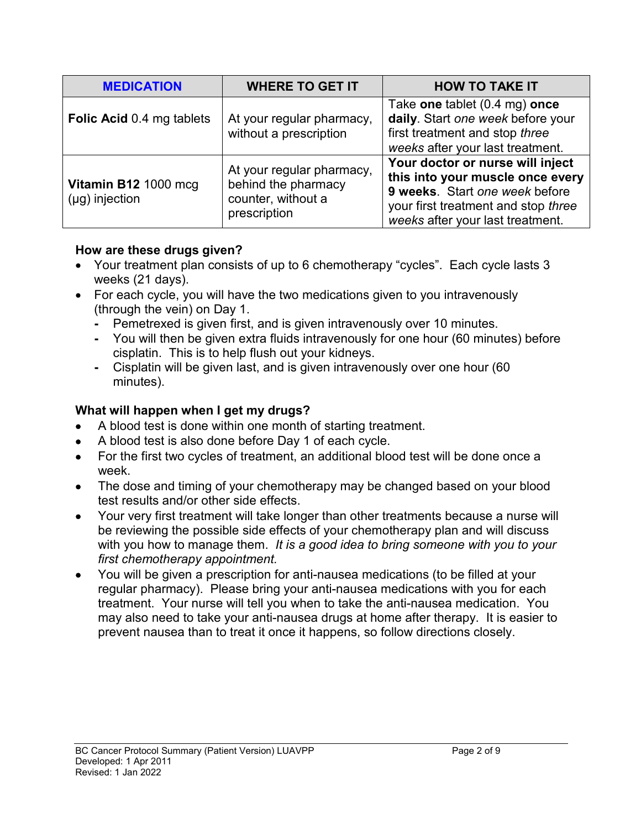| <b>MEDICATION</b>                           | <b>WHERE TO GET IT</b>                                                                 | <b>HOW TO TAKE IT</b>                                                                                                                                                             |  |
|---------------------------------------------|----------------------------------------------------------------------------------------|-----------------------------------------------------------------------------------------------------------------------------------------------------------------------------------|--|
| Folic Acid 0.4 mg tablets                   | At your regular pharmacy,<br>without a prescription                                    | Take one tablet (0.4 mg) once<br>daily. Start one week before your<br>first treatment and stop three<br>weeks after your last treatment.                                          |  |
| Vitamin B12 1000 mcg<br>$(\mu g)$ injection | At your regular pharmacy,<br>behind the pharmacy<br>counter, without a<br>prescription | Your doctor or nurse will inject<br>this into your muscle once every<br>9 weeks. Start one week before<br>your first treatment and stop three<br>weeks after your last treatment. |  |

### **How are these drugs given?**

- Your treatment plan consists of up to 6 chemotherapy "cycles". Each cycle lasts 3 weeks (21 days).
- For each cycle, you will have the two medications given to you intravenously (through the vein) on Day 1.
	- **-** Pemetrexed is given first, and is given intravenously over 10 minutes.
	- **-** You will then be given extra fluids intravenously for one hour (60 minutes) before cisplatin. This is to help flush out your kidneys.
	- **-** Cisplatin will be given last, and is given intravenously over one hour (60 minutes).

# **What will happen when I get my drugs?**

- A blood test is done within one month of starting treatment.
- A blood test is also done before Day 1 of each cycle.
- For the first two cycles of treatment, an additional blood test will be done once a week.
- The dose and timing of your chemotherapy may be changed based on your blood test results and/or other side effects.
- Your very first treatment will take longer than other treatments because a nurse will be reviewing the possible side effects of your chemotherapy plan and will discuss with you how to manage them. *It is a good idea to bring someone with you to your first chemotherapy appointment.*
- You will be given a prescription for anti-nausea medications (to be filled at your regular pharmacy). Please bring your anti-nausea medications with you for each treatment. Your nurse will tell you when to take the anti-nausea medication. You may also need to take your anti-nausea drugs at home after therapy. It is easier to prevent nausea than to treat it once it happens, so follow directions closely.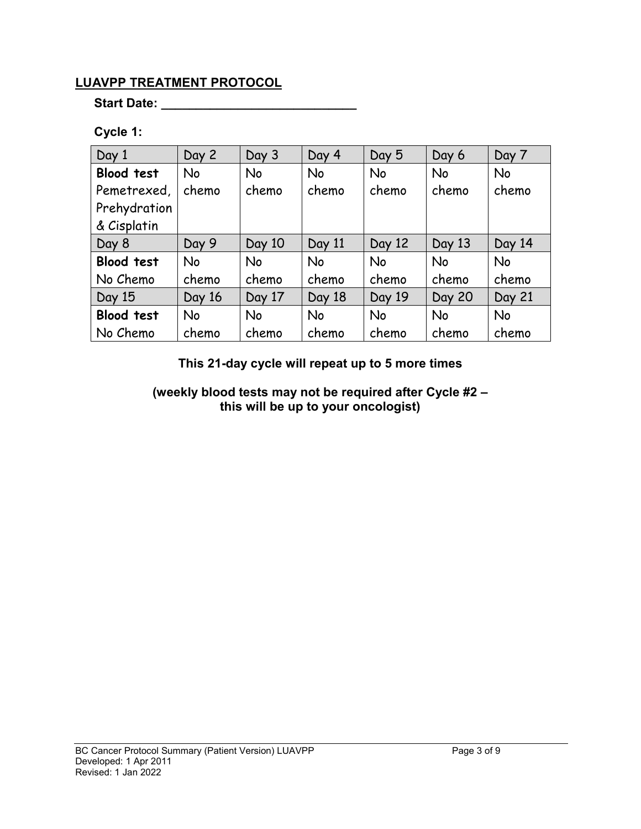### **LUAVPP TREATMENT PROTOCOL**

**Start Date: \_\_\_\_\_\_\_\_\_\_\_\_\_\_\_\_\_\_\_\_\_\_\_\_\_\_\_\_**

# **Cycle 1:**

| Day 1             | Day 2     | Day 3     | Day 4  | Day 5     | Day 6         | Day 7     |
|-------------------|-----------|-----------|--------|-----------|---------------|-----------|
| <b>Blood test</b> | <b>No</b> | <b>No</b> | No     | No        | <b>No</b>     | No        |
| Pemetrexed,       | chemo     | chemo     | chemo  | chemo     | chemo         | chemo     |
| Prehydration      |           |           |        |           |               |           |
| & Cisplatin       |           |           |        |           |               |           |
| Day 8             | Day 9     | Day 10    | Day 11 | Day 12    | Day 13        | Day 14    |
| <b>Blood test</b> | <b>No</b> | <b>No</b> | No     | <b>No</b> | <b>No</b>     | No        |
| No Chemo          | chemo     | chemo     | chemo  | chemo     | chemo         | chemo     |
| Day 15            | Day 16    | Day 17    | Day 18 | Day 19    | <b>Day 20</b> | Day 21    |
| <b>Blood test</b> | <b>No</b> | <b>No</b> | No     | No        | <b>No</b>     | <b>No</b> |
| No Chemo          | chemo     | chemo     | chemo  | chemo     | chemo         | chemo     |

**This 21-day cycle will repeat up to 5 more times**

**(weekly blood tests may not be required after Cycle #2 – this will be up to your oncologist)**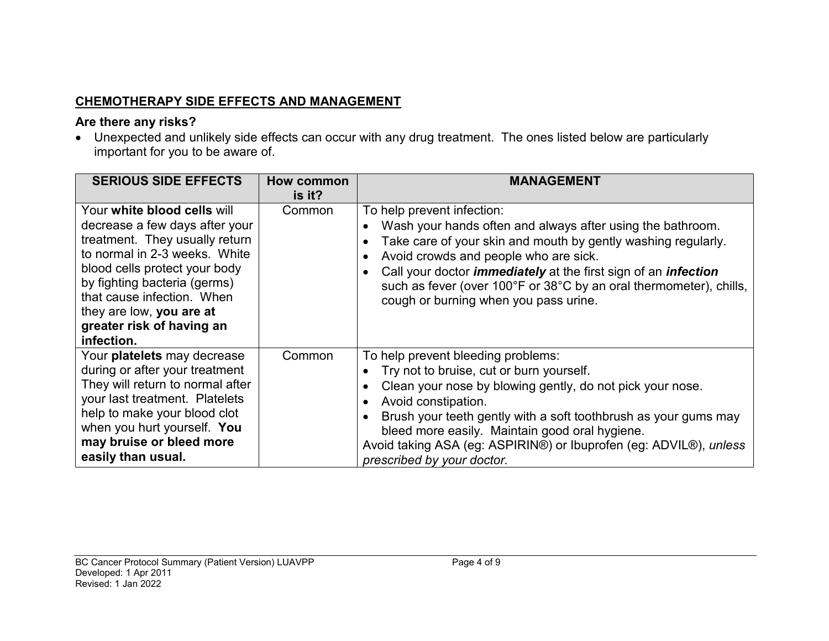# **CHEMOTHERAPY SIDE EFFECTS AND MANAGEMENT**

### **Are there any risks?**

• Unexpected and unlikely side effects can occur with any drug treatment. The ones listed below are particularly important for you to be aware of.

| <b>SERIOUS SIDE EFFECTS</b>                                                                                                                                                                                                                                                                            | How common<br>is it? | <b>MANAGEMENT</b>                                                                                                                                                                                                                                                                                                                                                                                 |
|--------------------------------------------------------------------------------------------------------------------------------------------------------------------------------------------------------------------------------------------------------------------------------------------------------|----------------------|---------------------------------------------------------------------------------------------------------------------------------------------------------------------------------------------------------------------------------------------------------------------------------------------------------------------------------------------------------------------------------------------------|
| Your white blood cells will<br>decrease a few days after your<br>treatment. They usually return<br>to normal in 2-3 weeks. White<br>blood cells protect your body<br>by fighting bacteria (germs)<br>that cause infection. When<br>they are low, you are at<br>greater risk of having an<br>infection. | Common               | To help prevent infection:<br>Wash your hands often and always after using the bathroom.<br>Take care of your skin and mouth by gently washing regularly.<br>Avoid crowds and people who are sick.<br>Call your doctor <i>immediately</i> at the first sign of an <i>infection</i><br>such as fever (over 100°F or 38°C by an oral thermometer), chills,<br>cough or burning when you pass urine. |
| Your platelets may decrease<br>during or after your treatment<br>They will return to normal after<br>your last treatment. Platelets<br>help to make your blood clot<br>when you hurt yourself. You<br>may bruise or bleed more<br>easily than usual.                                                   | Common               | To help prevent bleeding problems:<br>Try not to bruise, cut or burn yourself.<br>Clean your nose by blowing gently, do not pick your nose.<br>Avoid constipation.<br>Brush your teeth gently with a soft toothbrush as your gums may<br>bleed more easily. Maintain good oral hygiene.<br>Avoid taking ASA (eg: ASPIRIN®) or Ibuprofen (eg: ADVIL®), unless<br>prescribed by your doctor.        |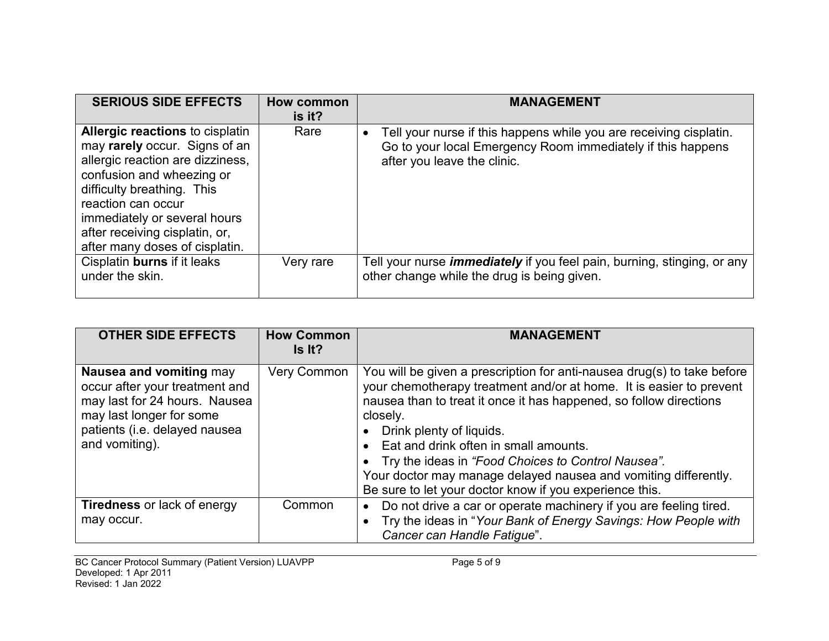| <b>SERIOUS SIDE EFFECTS</b>                                                                                                                                                                                                                                                                      | How common<br>is it? | <b>MANAGEMENT</b>                                                                                                                                                |
|--------------------------------------------------------------------------------------------------------------------------------------------------------------------------------------------------------------------------------------------------------------------------------------------------|----------------------|------------------------------------------------------------------------------------------------------------------------------------------------------------------|
| <b>Allergic reactions to cisplatin</b><br>may rarely occur. Signs of an<br>allergic reaction are dizziness,<br>confusion and wheezing or<br>difficulty breathing. This<br>reaction can occur<br>immediately or several hours<br>after receiving cisplatin, or,<br>after many doses of cisplatin. | Rare                 | Tell your nurse if this happens while you are receiving cisplatin.<br>Go to your local Emergency Room immediately if this happens<br>after you leave the clinic. |
| Cisplatin burns if it leaks<br>under the skin.                                                                                                                                                                                                                                                   | Very rare            | Tell your nurse <i>immediately</i> if you feel pain, burning, stinging, or any<br>other change while the drug is being given.                                    |

| <b>OTHER SIDE EFFECTS</b>                                                                                                                                                 | <b>How Common</b><br>Is It? | <b>MANAGEMENT</b>                                                                                                                                                                                                                                                                                                                                                                                                                                                                           |
|---------------------------------------------------------------------------------------------------------------------------------------------------------------------------|-----------------------------|---------------------------------------------------------------------------------------------------------------------------------------------------------------------------------------------------------------------------------------------------------------------------------------------------------------------------------------------------------------------------------------------------------------------------------------------------------------------------------------------|
| Nausea and vomiting may<br>occur after your treatment and<br>may last for 24 hours. Nausea<br>may last longer for some<br>patients (i.e. delayed nausea<br>and vomiting). | <b>Very Common</b>          | You will be given a prescription for anti-nausea drug(s) to take before<br>your chemotherapy treatment and/or at home. It is easier to prevent<br>nausea than to treat it once it has happened, so follow directions<br>closely.<br>Drink plenty of liquids.<br>Eat and drink often in small amounts.<br>• Try the ideas in "Food Choices to Control Nausea".<br>Your doctor may manage delayed nausea and vomiting differently.<br>Be sure to let your doctor know if you experience this. |
| <b>Tiredness</b> or lack of energy<br>may occur.                                                                                                                          | Common                      | Do not drive a car or operate machinery if you are feeling tired.<br>Try the ideas in "Your Bank of Energy Savings: How People with<br>Cancer can Handle Fatigue".                                                                                                                                                                                                                                                                                                                          |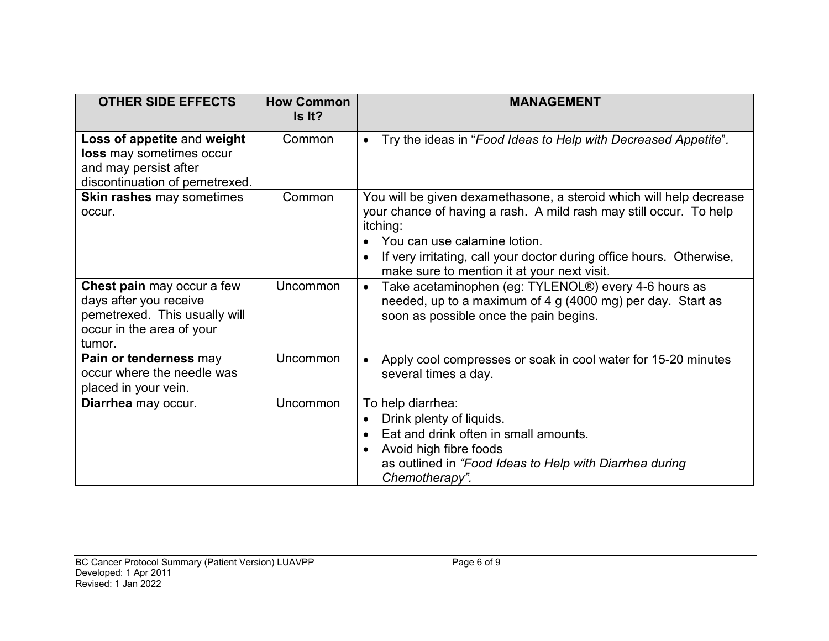| <b>OTHER SIDE EFFECTS</b>                                                                                                    | <b>How Common</b><br>Is It? | <b>MANAGEMENT</b>                                                                                                                                                                                                                                                                                            |
|------------------------------------------------------------------------------------------------------------------------------|-----------------------------|--------------------------------------------------------------------------------------------------------------------------------------------------------------------------------------------------------------------------------------------------------------------------------------------------------------|
| Loss of appetite and weight<br>loss may sometimes occur<br>and may persist after<br>discontinuation of pemetrexed.           | Common                      | Try the ideas in "Food Ideas to Help with Decreased Appetite".                                                                                                                                                                                                                                               |
| Skin rashes may sometimes<br>occur.                                                                                          | Common                      | You will be given dexamethasone, a steroid which will help decrease<br>your chance of having a rash. A mild rash may still occur. To help<br>itching:<br>You can use calamine lotion.<br>If very irritating, call your doctor during office hours. Otherwise,<br>make sure to mention it at your next visit. |
| Chest pain may occur a few<br>days after you receive<br>pemetrexed. This usually will<br>occur in the area of your<br>tumor. | Uncommon                    | Take acetaminophen (eg: TYLENOL®) every 4-6 hours as<br>$\bullet$<br>needed, up to a maximum of 4 g (4000 mg) per day. Start as<br>soon as possible once the pain begins.                                                                                                                                    |
| Pain or tenderness may<br>occur where the needle was<br>placed in your vein.                                                 | Uncommon                    | Apply cool compresses or soak in cool water for 15-20 minutes<br>several times a day.                                                                                                                                                                                                                        |
| Diarrhea may occur.                                                                                                          | Uncommon                    | To help diarrhea:<br>Drink plenty of liquids.<br>Eat and drink often in small amounts.<br>Avoid high fibre foods<br>as outlined in "Food Ideas to Help with Diarrhea during<br>Chemotherapy".                                                                                                                |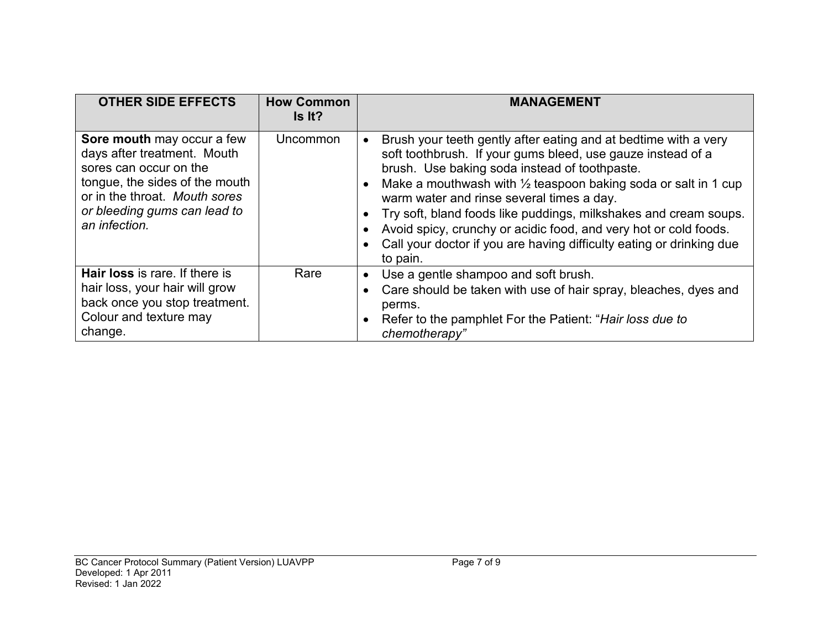| <b>OTHER SIDE EFFECTS</b>                                                                                                                                                                               | <b>How Common</b><br>Is It? | <b>MANAGEMENT</b>                                                                                                                                                                                                                                                                                                                                                                                                                                                                                                                     |
|---------------------------------------------------------------------------------------------------------------------------------------------------------------------------------------------------------|-----------------------------|---------------------------------------------------------------------------------------------------------------------------------------------------------------------------------------------------------------------------------------------------------------------------------------------------------------------------------------------------------------------------------------------------------------------------------------------------------------------------------------------------------------------------------------|
| Sore mouth may occur a few<br>days after treatment. Mouth<br>sores can occur on the<br>tongue, the sides of the mouth<br>or in the throat. Mouth sores<br>or bleeding gums can lead to<br>an infection. | Uncommon                    | Brush your teeth gently after eating and at bedtime with a very<br>soft toothbrush. If your gums bleed, use gauze instead of a<br>brush. Use baking soda instead of toothpaste.<br>Make a mouthwash with $\frac{1}{2}$ teaspoon baking soda or salt in 1 cup<br>warm water and rinse several times a day.<br>Try soft, bland foods like puddings, milkshakes and cream soups.<br>Avoid spicy, crunchy or acidic food, and very hot or cold foods.<br>Call your doctor if you are having difficulty eating or drinking due<br>to pain. |
| Hair loss is rare. If there is<br>hair loss, your hair will grow<br>back once you stop treatment.<br>Colour and texture may<br>change.                                                                  | Rare                        | Use a gentle shampoo and soft brush.<br>Care should be taken with use of hair spray, bleaches, dyes and<br>perms.<br>Refer to the pamphlet For the Patient: "Hair loss due to<br>chemotherapy"                                                                                                                                                                                                                                                                                                                                        |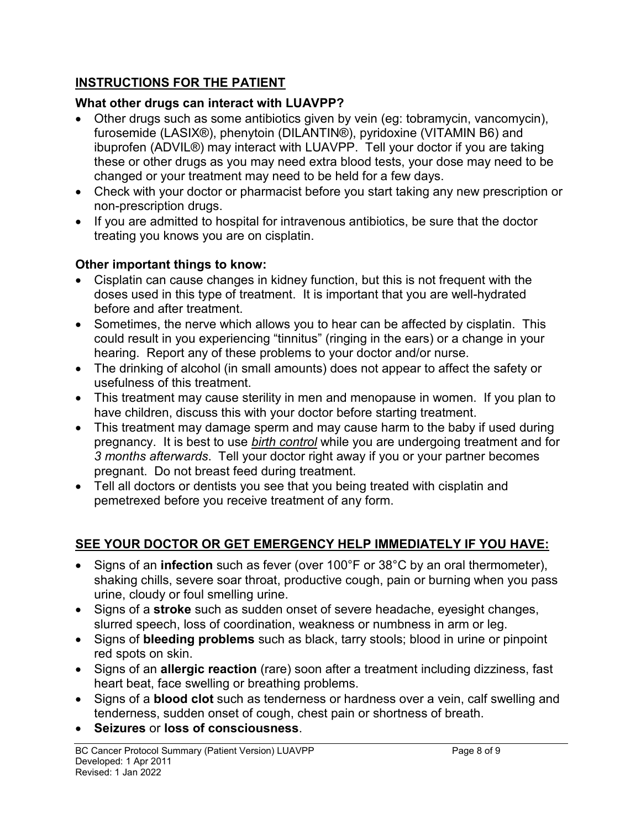## **INSTRUCTIONS FOR THE PATIENT**

# **What other drugs can interact with LUAVPP?**

- Other drugs such as some antibiotics given by vein (eg: tobramycin, vancomycin), furosemide (LASIX®), phenytoin (DILANTIN®), pyridoxine (VITAMIN B6) and ibuprofen (ADVIL®) may interact with LUAVPP. Tell your doctor if you are taking these or other drugs as you may need extra blood tests, your dose may need to be changed or your treatment may need to be held for a few days.
- Check with your doctor or pharmacist before you start taking any new prescription or non-prescription drugs.
- If you are admitted to hospital for intravenous antibiotics, be sure that the doctor treating you knows you are on cisplatin.

# **Other important things to know:**

- Cisplatin can cause changes in kidney function, but this is not frequent with the doses used in this type of treatment. It is important that you are well-hydrated before and after treatment.
- Sometimes, the nerve which allows you to hear can be affected by cisplatin. This could result in you experiencing "tinnitus" (ringing in the ears) or a change in your hearing. Report any of these problems to your doctor and/or nurse.
- The drinking of alcohol (in small amounts) does not appear to affect the safety or usefulness of this treatment.
- This treatment may cause sterility in men and menopause in women. If you plan to have children, discuss this with your doctor before starting treatment.
- This treatment may damage sperm and may cause harm to the baby if used during pregnancy. It is best to use *birth control* while you are undergoing treatment and for *3 months afterwards*. Tell your doctor right away if you or your partner becomes pregnant. Do not breast feed during treatment.
- Tell all doctors or dentists you see that you being treated with cisplatin and pemetrexed before you receive treatment of any form.

# **SEE YOUR DOCTOR OR GET EMERGENCY HELP IMMEDIATELY IF YOU HAVE:**

- Signs of an **infection** such as fever (over 100°F or 38°C by an oral thermometer), shaking chills, severe soar throat, productive cough, pain or burning when you pass urine, cloudy or foul smelling urine.
- Signs of a **stroke** such as sudden onset of severe headache, eyesight changes, slurred speech, loss of coordination, weakness or numbness in arm or leg.
- Signs of **bleeding problems** such as black, tarry stools; blood in urine or pinpoint red spots on skin.
- Signs of an **allergic reaction** (rare) soon after a treatment including dizziness, fast heart beat, face swelling or breathing problems.
- Signs of a **blood clot** such as tenderness or hardness over a vein, calf swelling and tenderness, sudden onset of cough, chest pain or shortness of breath.
- **Seizures** or **loss of consciousness**.